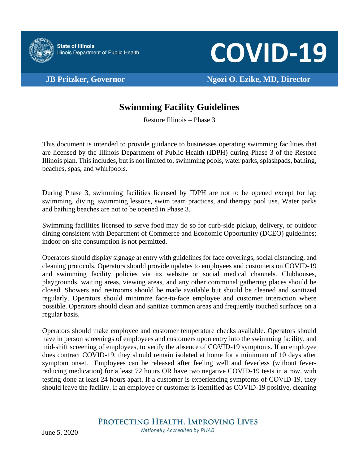

**COVID-19** 

**JB Pritzker, Governor Ngozi O. Ezike, MD, Director**

## **Swimming Facility Guidelines**

Restore Illinois – Phase 3

This document is intended to provide guidance to businesses operating swimming facilities that are licensed by the Illinois Department of Public Health (IDPH) during Phase 3 of the Restore Illinois plan. This includes, but is not limited to, swimming pools, water parks, splashpads, bathing, beaches, spas, and whirlpools.

During Phase 3, swimming facilities licensed by IDPH are not to be opened except for lap swimming, diving, swimming lessons, swim team practices, and therapy pool use. Water parks and bathing beaches are not to be opened in Phase 3.

Swimming facilities licensed to serve food may do so for curb-side pickup, delivery, or outdoor dining consistent with Department of Commerce and Economic Opportunity (DCEO) guidelines; indoor on-site consumption is not permitted.

Operators should display signage at entry with guidelines for face coverings, social distancing, and cleaning protocols. Operators should provide updates to employees and customers on COVID-19 and swimming facility policies via its website or social medical channels. Clubhouses, playgrounds, waiting areas, viewing areas, and any other communal gathering places should be closed. Showers and restrooms should be made available but should be cleaned and sanitized regularly. Operators should minimize face-to-face employee and customer interaction where possible. Operators should clean and sanitize common areas and frequently touched surfaces on a regular basis.

Operators should make employee and customer temperature checks available. Operators should have in person screenings of employees and customers upon entry into the swimming facility, and mid-shift screening of employees, to verify the absence of COVID-19 symptoms. If an employee does contract COVID-19, they should remain isolated at home for a minimum of 10 days after symptom onset. Employees can be released after feeling well and feverless (without feverreducing medication) for a least 72 hours OR have two negative COVID-19 tests in a row, with testing done at least 24 hours apart. If a customer is experiencing symptoms of COVID-19, they should leave the facility. If an employee or customer is identified as COVID-19 positive, cleaning